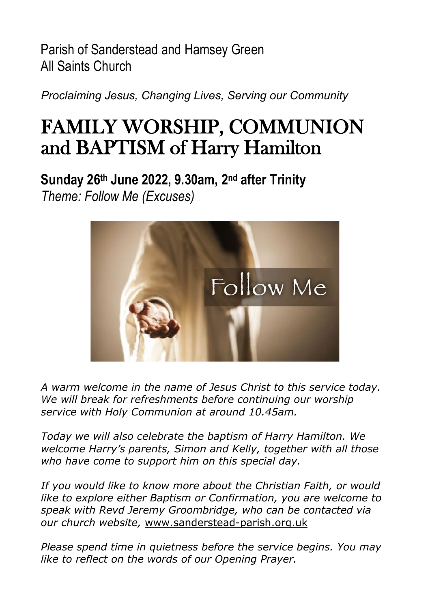Parish of Sanderstead and Hamsey Green All Saints Church

*Proclaiming Jesus, Changing Lives, Serving our Community*

# FAMILY WORSHIP, COMMUNION and BAPTISM of Harry Hamilton

**Sunday 26th June 2022, 9.30am, 2nd after Trinity** *Theme: Follow Me (Excuses)*



*A warm welcome in the name of Jesus Christ to this service today. We will break for refreshments before continuing our worship service with Holy Communion at around 10.45am.*

*Today we will also celebrate the baptism of Harry Hamilton. We welcome Harry's parents, Simon and Kelly, together with all those who have come to support him on this special day.*

*If you would like to know more about the Christian Faith, or would like to explore either Baptism or Confirmation, you are welcome to speak with Revd Jeremy Groombridge, who can be contacted via our church website,* [www.sanderstead-parish.org.uk](http://www.sanderstead-parish.org.uk/)

*Please spend time in quietness before the service begins. You may like to reflect on the words of our Opening Prayer.*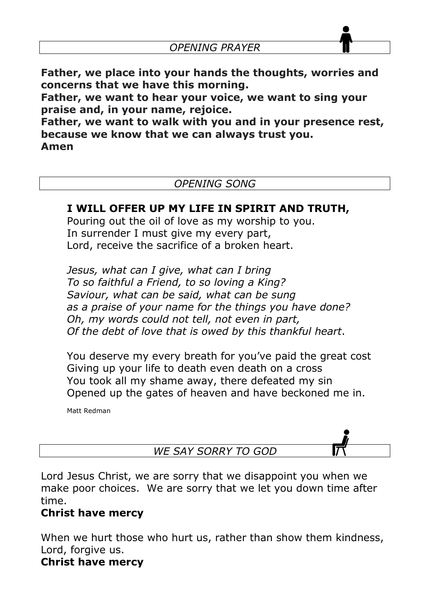**Father, we place into your hands the thoughts, worries and concerns that we have this morning.** 

**Father, we want to hear your voice, we want to sing your praise and, in your name, rejoice.**

**Father, we want to walk with you and in your presence rest, because we know that we can always trust you.** 

**Amen**

# *OPENING SONG*

# **I WILL OFFER UP MY LIFE IN SPIRIT AND TRUTH,**

Pouring out the oil of love as my worship to you. In surrender I must give my every part, Lord, receive the sacrifice of a broken heart.

*Jesus, what can I give, what can I bring To so faithful a Friend, to so loving a King? Saviour, what can be said, what can be sung as a praise of your name for the things you have done? Oh, my words could not tell, not even in part, Of the debt of love that is owed by this thankful heart*.

You deserve my every breath for you've paid the great cost Giving up your life to death even death on a cross You took all my shame away, there defeated my sin Opened up the gates of heaven and have beckoned me in.

Matt Redman

*WE SAY SORRY TO GOD*

Lord Jesus Christ, we are sorry that we disappoint you when we make poor choices. We are sorry that we let you down time after time.

# **Christ have mercy**

When we hurt those who hurt us, rather than show them kindness, Lord, forgive us.

# **Christ have mercy**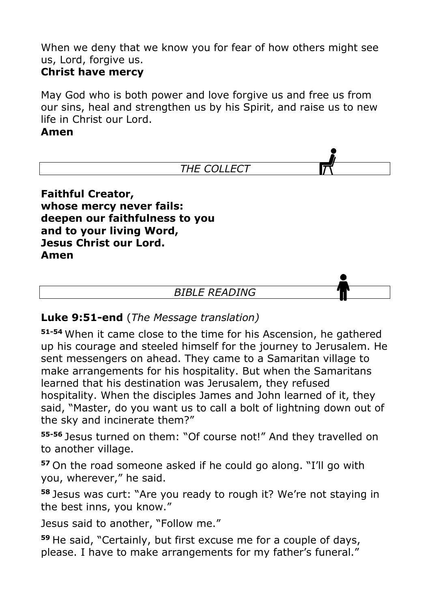When we deny that we know you for fear of how others might see us, Lord, forgive us.

# **Christ have mercy**

May God who is both power and love forgive us and free us from our sins, heal and strengthen us by his Spirit, and raise us to new life in Christ our Lord.

### **Amen**



**whose mercy never fails: deepen our faithfulness to you and to your living Word, Jesus Christ our Lord. Amen**

### *BIBLE READING*

# **Luke 9:51-end** (*The Message translation)*

**51-54** When it came close to the time for his Ascension, he gathered up his courage and steeled himself for the journey to Jerusalem. He sent messengers on ahead. They came to a Samaritan village to make arrangements for his hospitality. But when the Samaritans learned that his destination was Jerusalem, they refused hospitality. When the disciples James and John learned of it, they said, "Master, do you want us to call a bolt of lightning down out of the sky and incinerate them?"

**55-56** Jesus turned on them: "Of course not!" And they travelled on to another village.

**<sup>57</sup>** On the road someone asked if he could go along. "I'll go with you, wherever," he said.

**<sup>58</sup>** Jesus was curt: "Are you ready to rough it? We're not staying in the best inns, you know."

Jesus said to another, "Follow me."

**<sup>59</sup>** He said, "Certainly, but first excuse me for a couple of days, please. I have to make arrangements for my father's funeral."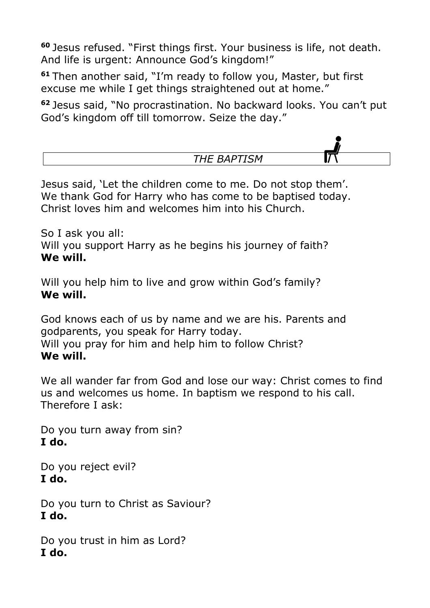**<sup>60</sup>** Jesus refused. "First things first. Your business is life, not death. And life is urgent: Announce God's kingdom!"

**<sup>61</sup>** Then another said, "I'm ready to follow you, Master, but first excuse me while I get things straightened out at home."

**<sup>62</sup>** Jesus said, "No procrastination. No backward looks. You can't put God's kingdom off till tomorrow. Seize the day."



Jesus said, 'Let the children come to me. Do not stop them'. We thank God for Harry who has come to be baptised today. Christ loves him and welcomes him into his Church.

So I ask you all: Will you support Harry as he begins his journey of faith? **We will.** 

Will you help him to live and grow within God's family? **We will.** 

God knows each of us by name and we are his. Parents and godparents, you speak for Harry today. Will you pray for him and help him to follow Christ? **We will.** 

We all wander far from God and lose our way: Christ comes to find us and welcomes us home. In baptism we respond to his call. Therefore I ask:

Do you turn away from sin? **I do.**

Do you reject evil? **I do.**

Do you turn to Christ as Saviour? **I do.**

Do you trust in him as Lord? **I do.**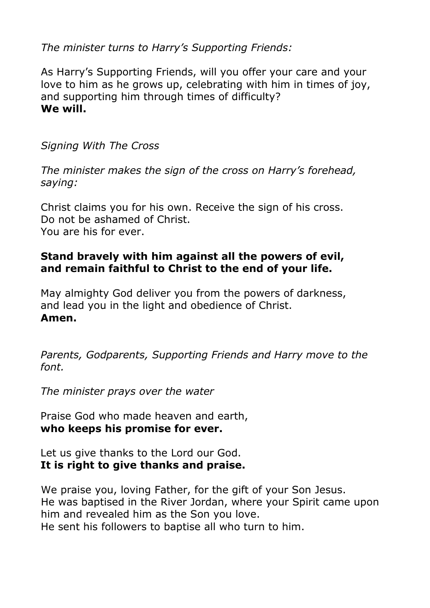*The minister turns to Harry's Supporting Friends:*

As Harry's Supporting Friends, will you offer your care and your love to him as he grows up, celebrating with him in times of joy, and supporting him through times of difficulty? **We will.**

*Signing With The Cross*

*The minister makes the sign of the cross on Harry's forehead, saying:*

Christ claims you for his own. Receive the sign of his cross. Do not be ashamed of Christ. You are his for ever.

# **Stand bravely with him against all the powers of evil, and remain faithful to Christ to the end of your life.**

May almighty God deliver you from the powers of darkness, and lead you in the light and obedience of Christ. **Amen.**

*Parents, Godparents, Supporting Friends and Harry move to the font.*

*The minister prays over the water*

Praise God who made heaven and earth, **who keeps his promise for ever.**

Let us give thanks to the Lord our God. **It is right to give thanks and praise.**

We praise you, loving Father, for the gift of your Son Jesus. He was baptised in the River Jordan, where your Spirit came upon him and revealed him as the Son you love. He sent his followers to baptise all who turn to him.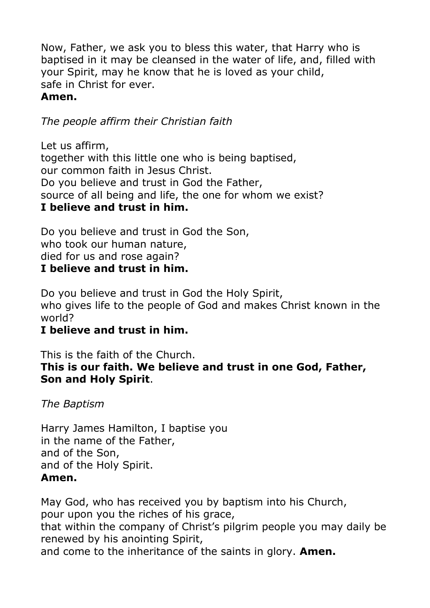Now, Father, we ask you to bless this water, that Harry who is baptised in it may be cleansed in the water of life, and, filled with your Spirit, may he know that he is loved as your child, safe in Christ for ever.

# **Amen.**

*The people affirm their Christian faith*

Let us affirm, together with this little one who is being baptised, our common faith in Jesus Christ. Do you believe and trust in God the Father, source of all being and life, the one for whom we exist? **I believe and trust in him.**

Do you believe and trust in God the Son, who took our human nature, died for us and rose again?

# **I believe and trust in him.**

Do you believe and trust in God the Holy Spirit, who gives life to the people of God and makes Christ known in the world?

# **I believe and trust in him.**

This is the faith of the Church. **This is our faith. We believe and trust in one God, Father, Son and Holy Spirit**.

*The Baptism*

Harry James Hamilton, I baptise you in the name of the Father, and of the Son, and of the Holy Spirit. **Amen.**

May God, who has received you by baptism into his Church, pour upon you the riches of his grace, that within the company of Christ's pilgrim people you may daily be renewed by his anointing Spirit, and come to the inheritance of the saints in glory. **Amen.**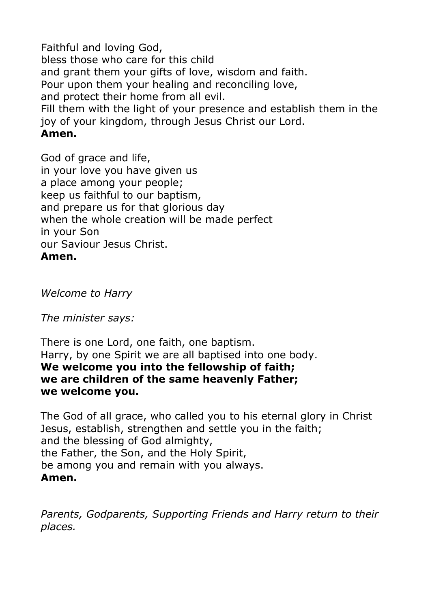Faithful and loving God, bless those who care for this child and grant them your gifts of love, wisdom and faith. Pour upon them your healing and reconciling love, and protect their home from all evil. Fill them with the light of your presence and establish them in the joy of your kingdom, through Jesus Christ our Lord. **Amen.**

God of grace and life, in your love you have given us a place among your people; keep us faithful to our baptism, and prepare us for that glorious day when the whole creation will be made perfect in your Son our Saviour Jesus Christ. **Amen.**

*Welcome to Harry*

*The minister says:*

There is one Lord, one faith, one baptism. Harry, by one Spirit we are all baptised into one body. **We welcome you into the fellowship of faith; we are children of the same heavenly Father; we welcome you.**

The God of all grace, who called you to his eternal glory in Christ Jesus, establish, strengthen and settle you in the faith; and the blessing of God almighty, the Father, the Son, and the Holy Spirit, be among you and remain with you always. **Amen.**

*Parents, Godparents, Supporting Friends and Harry return to their places.*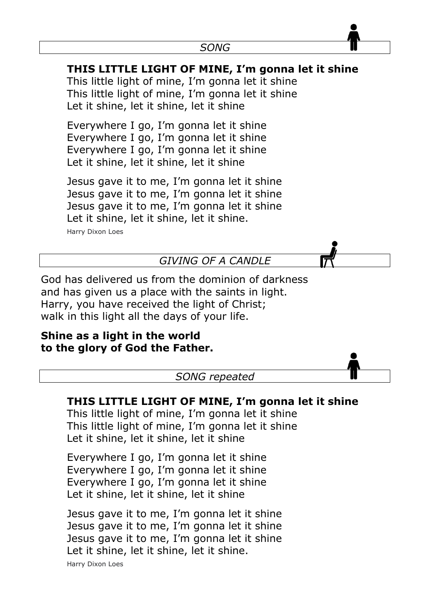# **THIS LITTLE LIGHT OF MINE, I'm gonna let it shine**

This little light of mine, I'm gonna let it shine This little light of mine, I'm gonna let it shine Let it shine, let it shine, let it shine

Everywhere I go, I'm gonna let it shine Everywhere I go, I'm gonna let it shine Everywhere I go, I'm gonna let it shine Let it shine, let it shine, let it shine

Jesus gave it to me, I'm gonna let it shine Jesus gave it to me, I'm gonna let it shine Jesus gave it to me, I'm gonna let it shine Let it shine, let it shine, let it shine. Harry Dixon Loes

*GIVING OF A CANDLE*

God has delivered us from the dominion of darkness and has given us a place with the saints in light. Harry, you have received the light of Christ; walk in this light all the days of your life.

### **Shine as a light in the world to the glory of God the Father.**

*SONG repeated*

# **THIS LITTLE LIGHT OF MINE, I'm gonna let it shine**

This little light of mine, I'm gonna let it shine This little light of mine, I'm gonna let it shine Let it shine, let it shine, let it shine

Everywhere I go, I'm gonna let it shine Everywhere I go, I'm gonna let it shine Everywhere I go, I'm gonna let it shine Let it shine, let it shine, let it shine

Jesus gave it to me, I'm gonna let it shine Jesus gave it to me, I'm gonna let it shine Jesus gave it to me, I'm gonna let it shine Let it shine, let it shine, let it shine.

Harry Dixon Loes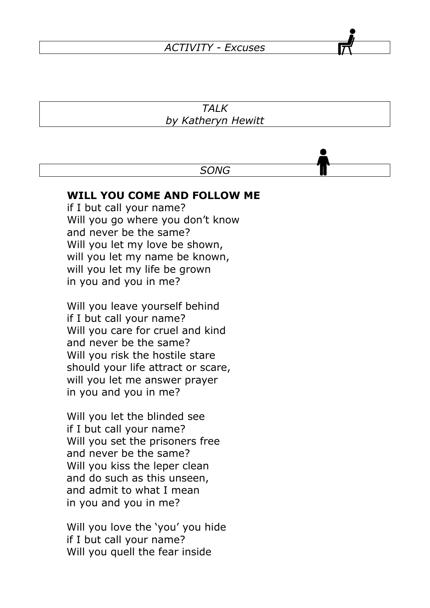#### *ACTIVITY - Excuses*

#### *TALK by Katheryn Hewitt*

#### *SONG*

#### **WILL YOU COME AND FOLLOW ME**

if I but call your name? Will you go where you don't know and never be the same? Will you let my love be shown, will you let my name be known, will you let my life be grown in you and you in me?

Will you leave yourself behind if I but call your name? Will you care for cruel and kind and never be the same? Will you risk the hostile stare should your life attract or scare, will you let me answer prayer in you and you in me?

Will you let the blinded see if I but call your name? Will you set the prisoners free and never be the same? Will you kiss the leper clean and do such as this unseen, and admit to what I mean in you and you in me?

Will you love the 'you' you hide if I but call your name? Will you quell the fear inside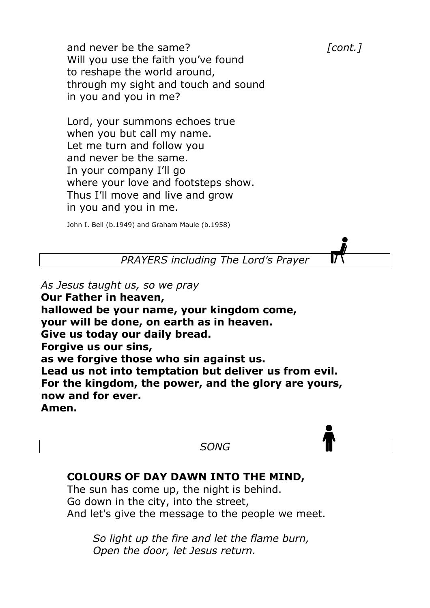and never be the same? *cont.]* Will you use the faith you've found to reshape the world around, through my sight and touch and sound in you and you in me?

Lord, your summons echoes true when you but call my name. Let me turn and follow you and never be the same. In your company I'll go where your love and footsteps show. Thus I'll move and live and grow in you and you in me.

John I. Bell (b.1949) and Graham Maule (b.1958)

*PRAYERS including The Lord's Prayer*

*As Jesus taught us, so we pray*

**Our Father in heaven, hallowed be your name, your kingdom come, your will be done, on earth as in heaven. Give us today our daily bread. Forgive us our sins, as we forgive those who sin against us. Lead us not into temptation but deliver us from evil. For the kingdom, the power, and the glory are yours, now and for ever. Amen.**

*SONG*

#### **COLOURS OF DAY DAWN INTO THE MIND,**

The sun has come up, the night is behind. Go down in the city, into the street, And let's give the message to the people we meet.

> *So light up the fire and let the flame burn, Open the door, let Jesus return.*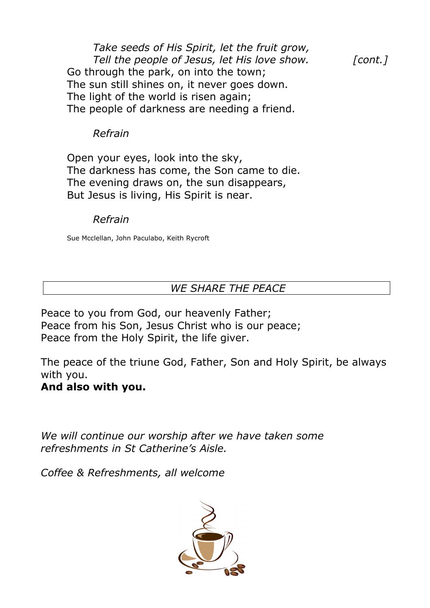*Take seeds of His Spirit, let the fruit grow, Tell the people of Jesus, let His love show. [cont.]* Go through the park, on into the town; The sun still shines on, it never goes down. The light of the world is risen again; The people of darkness are needing a friend.

#### *Refrain*

Open your eyes, look into the sky, The darkness has come, the Son came to die. The evening draws on, the sun disappears, But Jesus is living, His Spirit is near.

#### *Refrain*

Sue Mcclellan, John Paculabo, Keith Rycroft

# *WE SHARE THE PEACE*

Peace to you from God, our heavenly Father; Peace from his Son, Jesus Christ who is our peace; Peace from the Holy Spirit, the life giver.

The peace of the triune God, Father, Son and Holy Spirit, be always with you.

### **And also with you.**

*We will continue our worship after we have taken some refreshments in St Catherine's Aisle.*

*Coffee & Refreshments, all welcome*

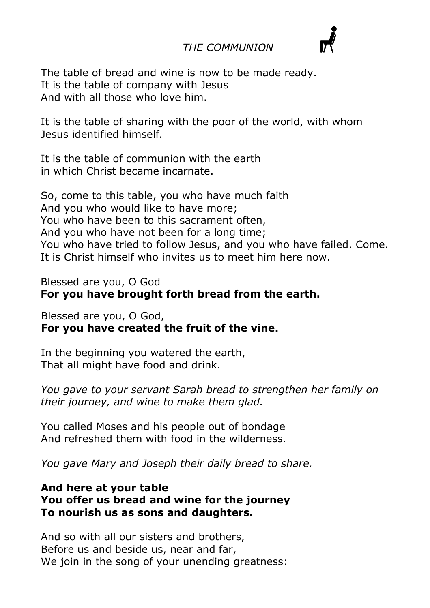*THE COMMUNION*

The table of bread and wine is now to be made ready. It is the table of company with Jesus And with all those who love him.

It is the table of sharing with the poor of the world, with whom Jesus identified himself.

It is the table of communion with the earth in which Christ became incarnate.

So, come to this table, you who have much faith And you who would like to have more; You who have been to this sacrament often, And you who have not been for a long time; You who have tried to follow Jesus, and you who have failed. Come. It is Christ himself who invites us to meet him here now.

Blessed are you, O God **For you have brought forth bread from the earth.**

Blessed are you, O God, **For you have created the fruit of the vine.** 

In the beginning you watered the earth, That all might have food and drink.

*You gave to your servant Sarah bread to strengthen her family on their journey, and wine to make them glad.*

You called Moses and his people out of bondage And refreshed them with food in the wilderness.

*You gave Mary and Joseph their daily bread to share.* 

# **And here at your table You offer us bread and wine for the journey To nourish us as sons and daughters.**

And so with all our sisters and brothers, Before us and beside us, near and far, We join in the song of your unending greatness: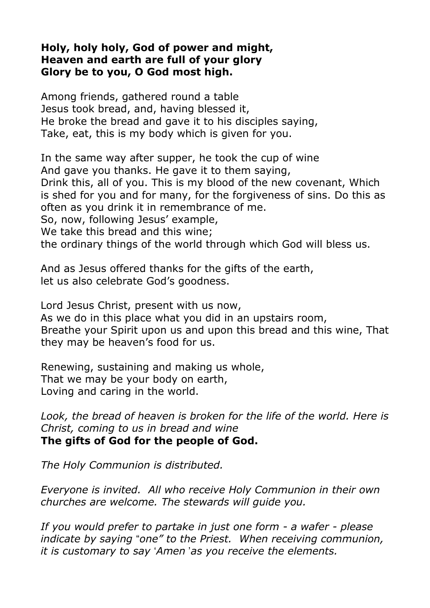# **Holy, holy holy, God of power and might, Heaven and earth are full of your glory Glory be to you, O God most high.**

Among friends, gathered round a table Jesus took bread, and, having blessed it, He broke the bread and gave it to his disciples saying, Take, eat, this is my body which is given for you.

In the same way after supper, he took the cup of wine And gave you thanks. He gave it to them saying, Drink this, all of you. This is my blood of the new covenant, Which is shed for you and for many, for the forgiveness of sins. Do this as often as you drink it in remembrance of me. So, now, following Jesus' example,

We take this bread and this wine;

the ordinary things of the world through which God will bless us.

And as Jesus offered thanks for the gifts of the earth, let us also celebrate God's goodness.

Lord Jesus Christ, present with us now, As we do in this place what you did in an upstairs room, Breathe your Spirit upon us and upon this bread and this wine, That they may be heaven's food for us.

Renewing, sustaining and making us whole, That we may be your body on earth, Loving and caring in the world.

*Look, the bread of heaven is broken for the life of the world. Here is Christ, coming to us in bread and wine* **The gifts of God for the people of God.**

*The Holy Communion is distributed.*

*Everyone is invited. All who receive Holy Communion in their own churches are welcome. The stewards will guide you.*

*If you would prefer to partake in just one form - a wafer - please indicate by saying* "*one" to the Priest. When receiving communion, it is customary to say* '*Amen* '*as you receive the elements.*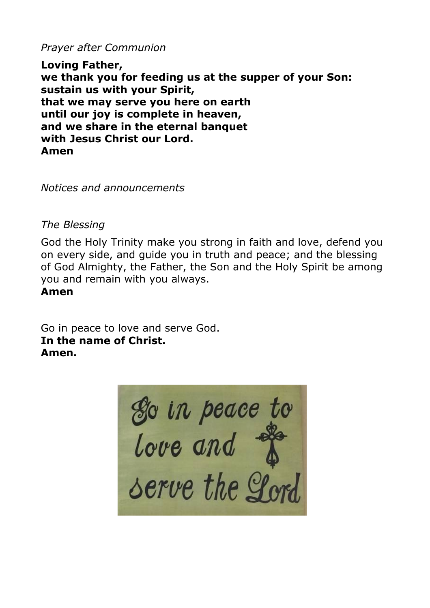*Prayer after Communion*

**Loving Father, we thank you for feeding us at the supper of your Son: sustain us with your Spirit, that we may serve you here on earth until our joy is complete in heaven, and we share in the eternal banquet with Jesus Christ our Lord. Amen**

*Notices and announcements*

*The Blessing*

God the Holy Trinity make you strong in faith and love, defend you on every side, and guide you in truth and peace; and the blessing of God Almighty, the Father, the Son and the Holy Spirit be among you and remain with you always. **Amen**

Go in peace to love and serve God. **In the name of Christ. Amen.**

So in peace to<br>love and  $\stackrel{\text{def}}{=}$ <br>serve the Lord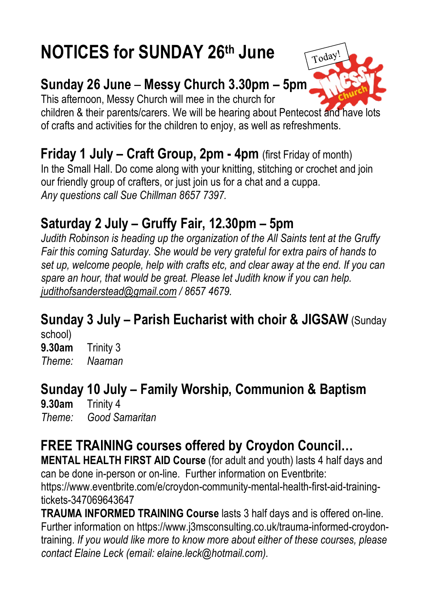# **NOTICES for SUNDAY 26th June**

# **Sunday 26 June** – **Messy Church 3.30pm – 5pm**

This afternoon, Messy Church will mee in the church for

children & their parents/carers. We will be hearing about Pentecost and have lots of crafts and activities for the children to enjoy, as well as refreshments.

**Friday 1 July – Craft Group, 2pm - 4pm** (first Friday of month) In the Small Hall. Do come along with your knitting, stitching or crochet and join our friendly group of crafters, or just join us for a chat and a cuppa. *Any questions call Sue Chillman 8657 7397.*

# **Saturday 2 July – Gruffy Fair, 12.30pm – 5pm**

*Judith Robinson is heading up the organization of the All Saints tent at the Gruffy Fair this coming Saturday. She would be very grateful for extra pairs of hands to set up, welcome people, help with crafts etc, and clear away at the end. If you can spare an hour, that would be great. Please let Judith know if you can help. [judithofsanderstead@gmail.com](mailto:judithofsanderstead@gmail.com) / 8657 4679.* 

# **Sunday 3 July – Parish Eucharist with choir & JIGSAW** (Sunday

school) **9.30am** Trinity 3 *Theme: Naaman*

# **Sunday <sup>10</sup> July – Family Worship, Communion & Baptism 9.30am** Trinity 4

*Theme: Good Samaritan*

# **FREE TRAINING courses offered by Croydon Council…**

**MENTAL HEALTH FIRST AID Course** (for adult and youth) lasts 4 half days and can be done in-person or on-line. Further information on Eventbrite:

[https://www.eventbrite.com/e/croydon-community-mental-health-first-aid-training](https://www.eventbrite.com/e/croydon-community-mental-health-first-aid-training-tickets-347069643647)[tickets-347069643647](https://www.eventbrite.com/e/croydon-community-mental-health-first-aid-training-tickets-347069643647) 

**TRAUMA INFORMED TRAINING Course** lasts 3 half days and is offered on-line. Further information on [https://www.j3msconsulting.co.uk/trauma-informed-croydon](https://www.j3msconsulting.co.uk/trauma-informed-croydon-training)[training.](https://www.j3msconsulting.co.uk/trauma-informed-croydon-training) *If you would like more to know more about either of these courses, please contact Elaine Leck (email: elaine.leck@hotmail.com).*